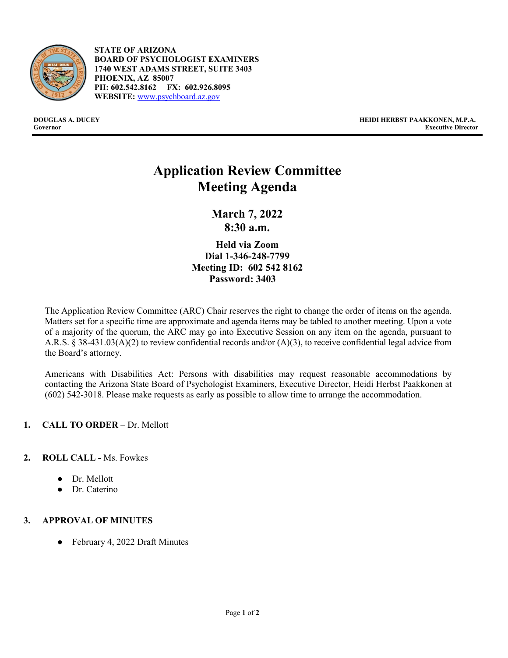

- **STATE OF ARIZONA BOARD OF PSYCHOLOGIST EXAMINERS 1740 WEST ADAMS STREET, SUITE 3403 PHOENIX, AZ 85007 PH: 602.542.8162 FX: 602.926.8095 WEBSITE:** [www.psychboard.az.gov](http://www.psychboard.az.gov/)

**DOUGLAS A. DUCEY HEIDI HERBST PAAKKONEN, M.P.A. Executive Director** 

# **Application Review Committee Meeting Agenda**

**March 7, 2022 8:30 a.m.**

**Held via Zoom Dial 1-346-248-7799 Meeting ID: 602 542 8162 Password: 3403**

The Application Review Committee (ARC) Chair reserves the right to change the order of items on the agenda. Matters set for a specific time are approximate and agenda items may be tabled to another meeting. Upon a vote of a majority of the quorum, the ARC may go into Executive Session on any item on the agenda, pursuant to A.R.S. § 38-431.03(A)(2) to review confidential records and/or (A)(3), to receive confidential legal advice from the Board's attorney.

Americans with Disabilities Act: Persons with disabilities may request reasonable accommodations by contacting the Arizona State Board of Psychologist Examiners, Executive Director, Heidi Herbst Paakkonen at (602) 542-3018. Please make requests as early as possible to allow time to arrange the accommodation.

## **1. CALL TO ORDER** – Dr. Mellott

## **2. ROLL CALL -** Ms. Fowkes

- Dr. Mellott
- Dr. Caterino

## **3. APPROVAL OF MINUTES**

● February 4, 2022 Draft Minutes